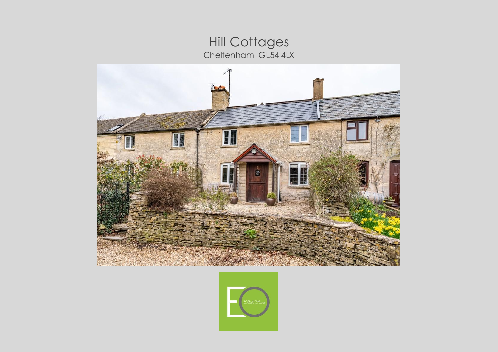## Hill Cottages<br>Cheltenham GL54 4LX



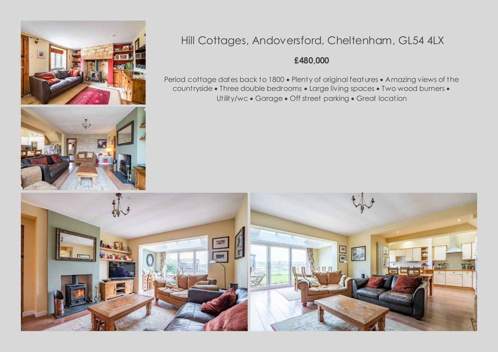



## Hill Cottages, Andoversford, Cheltenham, GL54 4LX

## **£480,000**

Period cottage dates back to 1800 . Plenty of original features . Amazing views of the countryside . Three double bedrooms . Large living spaces . Two wood burners . Utility/wc • Garage • Off street parking • Great location

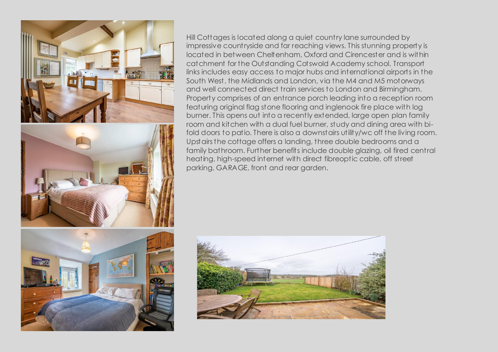



Hill Cottages is located along a quiet country lane surrounded by impressive countryside and far reaching views. This stunning property is located in between Cheltenham, Oxford and Cirencester and is within catchment for the Outstanding Cotswold Academy school. Transport links includes easy access to major hubs and international airports in the South West, the Midlands and London, via the M4 and M5 motorways and well connected direct train services to London and Birmingham. Property comprises of an entrance porch leading into a reception room featuring original flag stone flooring and inglenook fire place with log burner. This opens out into a recently extended, large open plan family room and kitchen with a dual fuel burner, study and dining area with bifold doors to patio. There is also a downstairs utility/wc off the living room. Upstairs the cottage offers a landing, three double bedrooms and a family bathroom. Further benefits include double glazing, oil fired central heating, high-speed internet with direct fibreoptic cable, off street parking, GARAGE, front and rear garden.